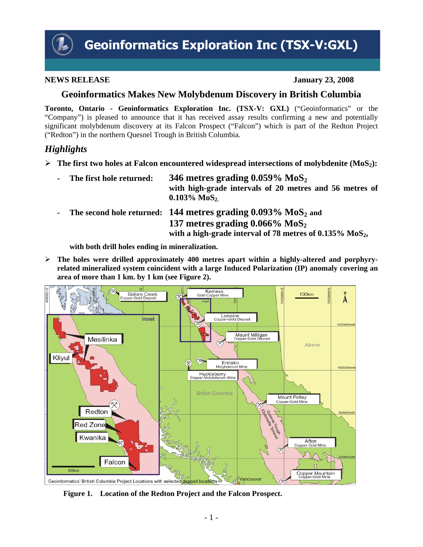

#### **NEWS RELEASE** January 23, 2008

## **Geoinformatics Makes New Molybdenum Discovery in British Columbia**

**Toronto, Ontario - Geoinformatics Exploration Inc. (TSX-V: GXL)** ("Geoinformatics" or the "Company") is pleased to announce that it has received assay results confirming a new and potentially significant molybdenum discovery at its Falcon Prospect ("Falcon") which is part of the Redton Project ("Redton") in the northern Quesnel Trough in British Columbia.

# *Highlights*

- ¾ **The first two holes at Falcon encountered widespread intersections of molybdenite (MoS2):**
	- The first hole returned:  $346$  metres grading  $0.059\%$   $MoS<sub>2</sub>$ **with high-grade intervals of 20 metres and 56 metres of**  0.103% MoS<sub>2.</sub>
	- The second hole returned: 144 metres grading  $0.093\%$  MoS<sub>2</sub> and 137 metres grading  $0.066\%$  MoS<sub>2</sub> with a high-grade interval of 78 metres of 0.135% MoS<sub>2</sub>,

**with both drill holes ending in mineralization.** 

¾ **The holes were drilled approximately 400 metres apart within a highly-altered and porphyryrelated mineralized system coincident with a large Induced Polarization (IP) anomaly covering an area of more than 1 km. by 1 km (see Figure 2).**



**Figure 1. Location of the Redton Project and the Falcon Prospect.**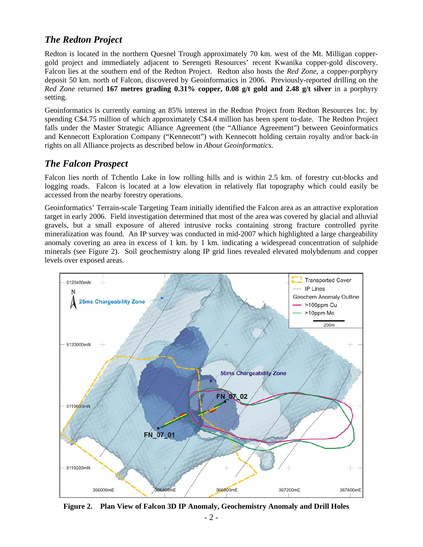# *The Redton Project*

Redton is located in the northern Quesnel Trough approximately 70 km. west of the Mt. Milligan coppergold project and immediately adjacent to Serengeti Resources' recent Kwanika copper-gold discovery. Falcon lies at the southern end of the Redton Project. Redton also hosts the *Red Zone*, a copper-porphyry deposit 50 km. north of Falcon, discovered by Geoinformatics in 2006. Previously-reported drilling on the *Red Zone* returned **167 metres grading 0.31% copper, 0.08 g/t gold and 2.48 g/t silver** in a porphyry setting.

Geoinformatics is currently earning an 85% interest in the Redton Project from Redton Resources Inc. by spending C\$4.75 million of which approximately C\$4.4 million has been spent to-date. The Redton Project falls under the Master Strategic Alliance Agreement (the "Alliance Agreement") between Geoinformatics and Kennecott Exploration Company ("Kennecott") with Kennecott holding certain royalty and/or back-in rights on all Alliance projects as described below in *About Geoinformatics*.

### *The Falcon Prospect*

Falcon lies north of Tchentlo Lake in low rolling hills and is within 2.5 km. of forestry cut-blocks and logging roads. Falcon is located at a low elevation in relatively flat topography which could easily be accessed from the nearby forestry operations.

Geoinformatics' Terrain-scale Targeting Team initially identified the Falcon area as an attractive exploration target in early 2006. Field investigation determined that most of the area was covered by glacial and alluvial gravels, but a small exposure of altered intrusive rocks containing strong fracture controlled pyrite mineralization was found. An IP survey was conducted in mid-2007 which highlighted a large chargeability anomaly covering an area in excess of 1 km. by 1 km. indicating a widespread concentration of sulphide minerals (see Figure 2). Soil geochemistry along IP grid lines revealed elevated molybdenum and copper levels over exposed areas.



**Figure 2. Plan View of Falcon 3D IP Anomaly, Geochemistry Anomaly and Drill Holes**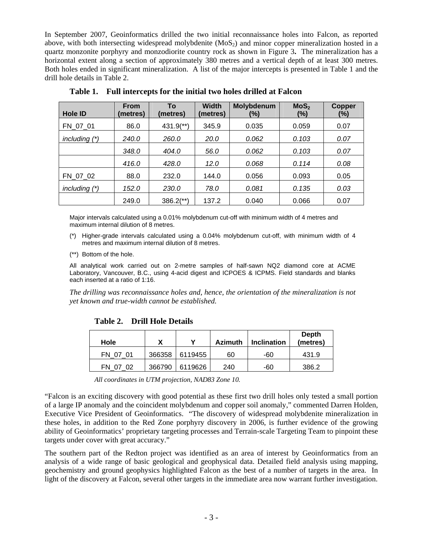In September 2007, Geoinformatics drilled the two initial reconnaissance holes into Falcon, as reported above, with both intersecting widespread molybdenite  $(MoS<sub>2</sub>)$  and minor copper mineralization hosted in a quartz monzonite porphyry and monzodiorite country rock as shown in Figure 3**.** The mineralization has a horizontal extent along a section of approximately 380 metres and a vertical depth of at least 300 metres. Both holes ended in significant mineralization. A list of the major intercepts is presented in Table 1 and the drill hole details in Table 2.

| <b>Hole ID</b>  | <b>From</b><br>(metres) | To<br>(metres)          | <b>Width</b><br>(metres) | Molybdenum<br>(%) | MoS <sub>2</sub><br>(%) | <b>Copper</b><br>$(\%)$ |
|-----------------|-------------------------|-------------------------|--------------------------|-------------------|-------------------------|-------------------------|
| FN 07 01        | 86.0                    | $431.9$ <sup>**</sup> ) | 345.9                    | 0.035             | 0.059                   | 0.07                    |
| including $(*)$ | 240.0                   | 260.0                   | <b>20.0</b>              | 0.062             | 0.103                   | 0.07                    |
|                 | 348.0                   | 404.0                   | 56.0                     | 0.062             | 0.103                   | 0.07                    |
|                 | 416.0                   | 428.0                   | 12.0                     | 0.068             | 0.114                   | 0.08                    |
| FN 07 02        | 88.0                    | 232.0                   | 144.0                    | 0.056             | 0.093                   | 0.05                    |
| including $(*)$ | 152.0                   | 230.0                   | 78.0                     | 0.081             | 0.135                   | 0.03                    |
|                 | 249.0                   | $386.2$ <sup>**</sup> ) | 137.2                    | 0.040             | 0.066                   | 0.07                    |

**Table 1. Full intercepts for the initial two holes drilled at Falcon**

Major intervals calculated using a 0.01% molybdenum cut-off with minimum width of 4 metres and maximum internal dilution of 8 metres.

- (\*) Higher-grade intervals calculated using a 0.04% molybdenum cut-off, with minimum width of 4 metres and maximum internal dilution of 8 metres.
- (\*\*) Bottom of the hole.

All analytical work carried out on 2-metre samples of half-sawn NQ2 diamond core at ACME Laboratory, Vancouver, B.C., using 4-acid digest and ICPOES & ICPMS. Field standards and blanks each inserted at a ratio of 1:16.

*The drilling was reconnaissance holes and, hence, the orientation of the mineralization is not yet known and true-width cannot be established.* 

| Table 2. DTm Tible Details |  |
|----------------------------|--|
|                            |  |

**Table 2. Drill Hole Details** 

| Hole             |        | v                | <b>Azimuth</b> | <b>Inclination</b> | <b>Depth</b><br>(metres) |
|------------------|--------|------------------|----------------|--------------------|--------------------------|
| FN 07 01         |        | 366358   6119455 | 60             | -60                | 431.9                    |
| FN<br>-02<br>(1) | 366790 | 6119626          | 240            | -60                | 386.2                    |

*All coordinates in UTM projection, NAD83 Zone 10.* 

"Falcon is an exciting discovery with good potential as these first two drill holes only tested a small portion of a large IP anomaly and the coincident molybdenum and copper soil anomaly," commented Darren Holden, Executive Vice President of Geoinformatics. "The discovery of widespread molybdenite mineralization in these holes, in addition to the Red Zone porphyry discovery in 2006, is further evidence of the growing ability of Geoinformatics' proprietary targeting processes and Terrain-scale Targeting Team to pinpoint these targets under cover with great accuracy."

The southern part of the Redton project was identified as an area of interest by Geoinformatics from an analysis of a wide range of basic geological and geophysical data. Detailed field analysis using mapping, geochemistry and ground geophysics highlighted Falcon as the best of a number of targets in the area. In light of the discovery at Falcon, several other targets in the immediate area now warrant further investigation.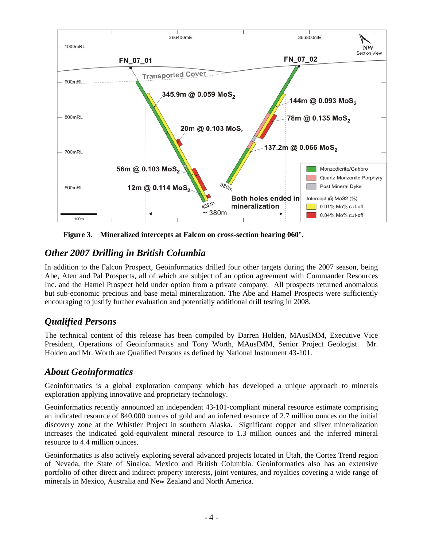

**Figure 3. Mineralized intercepts at Falcon on cross-section bearing 060°.** 

# *Other 2007 Drilling in British Columbia*

In addition to the Falcon Prospect, Geoinformatics drilled four other targets during the 2007 season, being Abe, Aten and Pal Prospects, all of which are subject of an option agreement with Commander Resources Inc. and the Hamel Prospect held under option from a private company. All prospects returned anomalous but sub-economic precious and base metal mineralization. The Abe and Hamel Prospects were sufficiently encouraging to justify further evaluation and potentially additional drill testing in 2008.

# *Qualified Persons*

The technical content of this release has been compiled by Darren Holden, MAusIMM, Executive Vice President, Operations of Geoinformatics and Tony Worth, MAusIMM, Senior Project Geologist. Mr. Holden and Mr. Worth are Qualified Persons as defined by National Instrument 43-101.

# *About Geoinformatics*

Geoinformatics is a global exploration company which has developed a unique approach to minerals exploration applying innovative and proprietary technology.

Geoinformatics recently announced an independent 43-101-compliant mineral resource estimate comprising an indicated resource of 840,000 ounces of gold and an inferred resource of 2.7 million ounces on the initial discovery zone at the Whistler Project in southern Alaska. Significant copper and silver mineralization increases the indicated gold-equivalent mineral resource to 1.3 million ounces and the inferred mineral resource to 4.4 million ounces.

Geoinformatics is also actively exploring several advanced projects located in Utah, the Cortez Trend region of Nevada, the State of Sinaloa, Mexico and British Columbia. Geoinformatics also has an extensive portfolio of other direct and indirect property interests, joint ventures, and royalties covering a wide range of minerals in Mexico, Australia and New Zealand and North America.